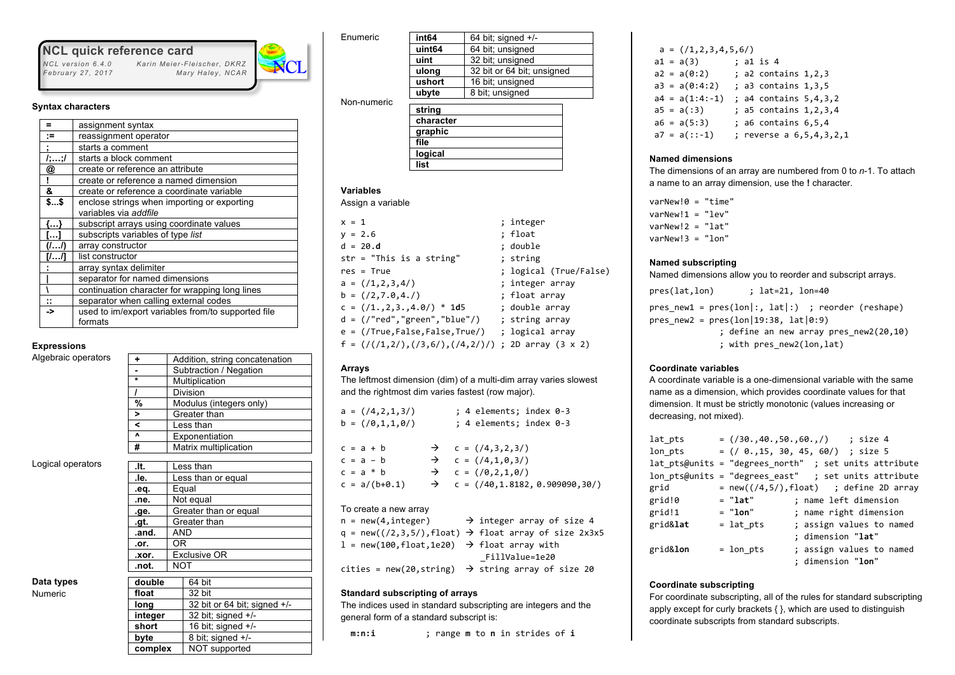# **NCL quick reference card**<br>*NCL version 6.4.0* Karin Meier-Fle

*February 27, 2017* 

#### **Syntax characters**

| =          | assignment syntax                                  |  |  |  |  |  |
|------------|----------------------------------------------------|--|--|--|--|--|
| :=         | reassignment operator                              |  |  |  |  |  |
| ÷          | starts a comment                                   |  |  |  |  |  |
| 1, ; 1     | starts a block comment                             |  |  |  |  |  |
| @          | create or reference an attribute                   |  |  |  |  |  |
| Ţ          | create or reference a named dimension              |  |  |  |  |  |
| &          | create or reference a coordinate variable          |  |  |  |  |  |
| \$\$       | enclose strings when importing or exporting        |  |  |  |  |  |
|            | variables via addfile                              |  |  |  |  |  |
| .          | subscript arrays using coordinate values           |  |  |  |  |  |
| $\cdots$   | subscripts variables of type list                  |  |  |  |  |  |
|            | array constructor                                  |  |  |  |  |  |
|            | list constructor                                   |  |  |  |  |  |
|            | array syntax delimiter                             |  |  |  |  |  |
|            | separator for named dimensions                     |  |  |  |  |  |
|            | continuation character for wrapping long lines     |  |  |  |  |  |
| $\ddot{ }$ | separator when calling external codes              |  |  |  |  |  |
| ->         | used to im/export variables from/to supported file |  |  |  |  |  |
|            | formats                                            |  |  |  |  |  |
|            |                                                    |  |  |  |  |  |

 *NCL version 6.4.0 Karin Meier-Fleischer, DKRZ*

#### **Expressions** Algebraic operators

|                | Addition, string concatenation |
|----------------|--------------------------------|
|                | Subtraction / Negation         |
| $\star$        | Multiplication                 |
|                | Division                       |
| %              | Modulus (integers only)        |
| $\overline{ }$ | Greater than                   |
|                | Less than                      |
| $\lambda$      | Exponentiation                 |
| #              | Matrix multiplication          |
|                |                                |

Logical operators

| .lt.     | Less than             |  |  |  |  |  |
|----------|-----------------------|--|--|--|--|--|
| .le.     | Less than or equal    |  |  |  |  |  |
| .eq.     | Equal                 |  |  |  |  |  |
| .ne.     | Not equal             |  |  |  |  |  |
| .ge.     | Greater than or equal |  |  |  |  |  |
| .gt.     | Greater than          |  |  |  |  |  |
| .and.    | AND                   |  |  |  |  |  |
| .or.     | ΟR                    |  |  |  |  |  |
| .xor.    | <b>Exclusive OR</b>   |  |  |  |  |  |
| .not.    | <b>NOT</b>            |  |  |  |  |  |
|          |                       |  |  |  |  |  |
| ماطبرماء | $64$ hit              |  |  |  |  |  |

| Data types |  |
|------------|--|
| Numeric    |  |

| double  | 64 bit                       |
|---------|------------------------------|
| float   | 32 bit                       |
| long    | 32 bit or 64 bit; signed +/- |
| integer | 32 bit; signed $+/-$         |
| short   | 16 bit; signed $+/-$         |
| byte    | 8 bit; signed +/-            |
| complex | NOT supported                |

| Enumeric    | int <sub>64</sub> | 64 bit; signed $+/-$       |  |  |
|-------------|-------------------|----------------------------|--|--|
|             | uint64            | 64 bit; unsigned           |  |  |
|             | uint              | 32 bit; unsigned           |  |  |
|             | ulong             | 32 bit or 64 bit; unsigned |  |  |
|             | ushort            | 16 bit; unsigned           |  |  |
|             | ubyte             | 8 bit; unsigned            |  |  |
| Non-numeric |                   |                            |  |  |
|             | string            |                            |  |  |
|             | character         |                            |  |  |
|             | graphic           |                            |  |  |
|             | file              |                            |  |  |
|             | logical           |                            |  |  |
|             | list              |                            |  |  |
|             |                   |                            |  |  |

# **Variables**

Assign a variable

| $x = 1$                                                                                                            | ; integer              |
|--------------------------------------------------------------------------------------------------------------------|------------------------|
| $y = 2.6$                                                                                                          | ; float                |
| $d = 20.d$                                                                                                         | ; double               |
| $str = "This is a string"$                                                                                         | ; string               |
| $res = True$                                                                                                       | ; logical (True/False) |
| $a = \frac{1}{2}, 2, 3, 4/$                                                                                        | ; integer array        |
| $b = \frac{1}{2}, 7.0, 4.7$                                                                                        | ; float array          |
| $c = \frac{1}{1 \cdot 2, 3 \cdot 4.0}$ * 1d5                                                                       | ; double array         |
| d = (/"red","green","blue"/)                                                                                       | ; string array         |
| $e = //True, False, False, True/$ ; logical array                                                                  |                        |
| f = $\left(\frac{1}{2}, 2\right), \left(\frac{3}{5}, 6\right), \left(\frac{4}{2}\right)\right)$ ; 2D array (3 x 2) |                        |

# **Arrays**

The leftmost dimension (dim) of a multi-dim array varies slowest and the rightmost dim varies fastest (row major).

| $a = \left( \frac{1}{4}, 2, 1, 3 \right)$<br>$b = \left( \frac{1}{0}, 1, 1, 0 \right)$ | ; 4 elements; index 0-3<br>; 4 elements; index 0-3                                                                                              |
|----------------------------------------------------------------------------------------|-------------------------------------------------------------------------------------------------------------------------------------------------|
| $c = a + b$<br>$c = a - b$<br>$c = a * b$<br>$c = a/(b+0.1)$                           | $\rightarrow$ c = (/4,3,2,3/)<br>$\rightarrow$ c = (/4,1,0,3/)<br>$\rightarrow$ c = (/0,2,1,0/)<br>$\rightarrow$ c = (/40,1.8182, 0.909090,30/) |

## To create a new array

|  | $n = new(4, integer)$                                    | $\rightarrow$ integer array of size 4                                |
|--|----------------------------------------------------------|----------------------------------------------------------------------|
|  |                                                          | q = new( $(2,3,5/)$ , float) $\rightarrow$ float array of size 2x3x5 |
|  | 1 = new(100, float, 1e20) $\rightarrow$ float array with |                                                                      |
|  |                                                          | FillValue=1e20                                                       |
|  |                                                          | cities = new(20, string) $\rightarrow$ string array of size 20       |

## **Standard subscripting of arrays**

The indices used in standard subscripting are integers and the general form of a standard subscript is:

**m:n:i** ; range **m** to **n** in strides of **i**

|  | $a = \left( \frac{1}{2}, 3, 4, 5, 6 \right)$ |  |                            |                         |
|--|----------------------------------------------|--|----------------------------|-------------------------|
|  | $a1 = a(3)$                                  |  | ; a1 is 4                  |                         |
|  | $a2 = a(0:2)$                                |  | ; a2 contains $1, 2, 3$    |                         |
|  | $a3 = a(0:4:2)$                              |  | ; a3 contains $1,3,5$      |                         |
|  | $a4 = a(1:4:-1)$                             |  | ; a4 contains $5,4,3,2$    |                         |
|  | $a5 = a(:3)$                                 |  | ; a5 contains $1, 2, 3, 4$ |                         |
|  | $a6 = a(5:3)$                                |  | ; a6 contains $6, 5, 4$    |                         |
|  | $a7 = a(::-1)$                               |  |                            | ; reverse a 6,5,4,3,2,1 |
|  |                                              |  |                            |                         |

# **Named dimensions**

The dimensions of an array are numbered from 0 to *n*-1. To attach a name to an array dimension, use the **!** character.

 $varNew!0 = "time"$ varNew!1 = "lev" varNew!2 = "lat"  $varNew!3 = "lon"$ 

#### **Named subscripting**

Named dimensions allow you to reorder and subscript arrays.

pres(lat,lon) ; lat=21, lon=40

 $pres_new1 = pres(lon|:, lat|:)$ ; reorder (reshape) pres new2 = pres(lon|19:38, lat $|0:9\rangle$  ; define an new array pres\_new2(20,10) ; with pres\_new2(lon,lat)

## **Coordinate variables**

A coordinate variable is a one-dimensional variable with the same name as a dimension, which provides coordinate values for that dimension. It must be strictly monotonic (values increasing or decreasing, not mixed).

| lat pts          |             | $=$ (/30.,40.,50.,60.,/) ; size 4                       |
|------------------|-------------|---------------------------------------------------------|
| lon pts          |             | = (/ 0.,15, 30, 45, 60/) ; size 5                       |
|                  |             | $lat$ pts@units = "degrees north" ; set units attribute |
|                  |             | $1$ on pts@units = "degrees east" ; set units attribute |
| grid             |             | $= new(((4,5/),float)$ ; define 2D array                |
| grid!0           | = "lat"     | ; name left dimension                                   |
| grid!1           | $= "lon"$   | ; name right dimension                                  |
| grid⪫            | $=$ lat pts | ; assign values to named                                |
|                  |             | ; dimension "lat"                                       |
| grid& <b>lon</b> | = lon pts   | ; assign values to named                                |
|                  |             | ; dimension " <b>lon</b> "                              |

# **Coordinate subscripting**

For coordinate subscripting, all of the rules for standard subscripting apply except for curly brackets { }, which are used to distinguish coordinate subscripts from standard subscripts.